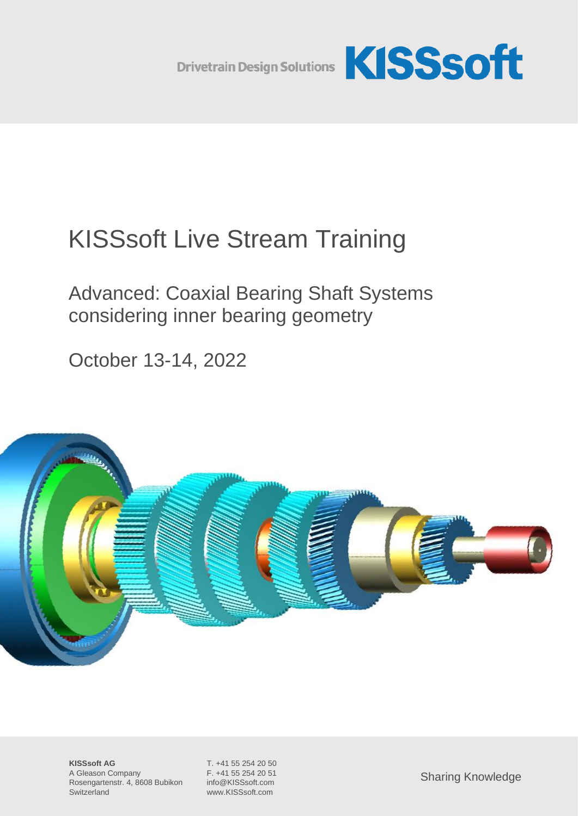

# KISSsoft Live Stream Training

Advanced: Coaxial Bearing Shaft Systems considering inner bearing geometry

October 13-14, 2022

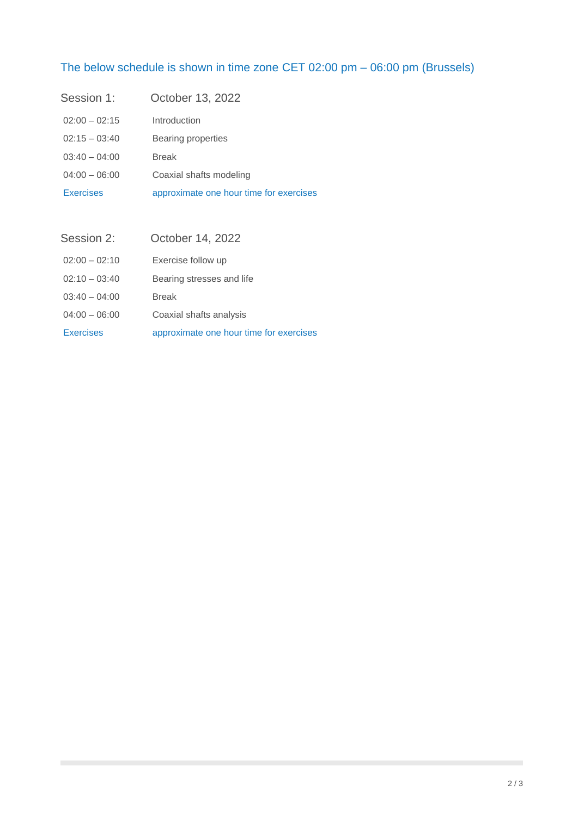## The below schedule is shown in time zone CET 02:00 pm – 06:00 pm (Brussels)

| Session 1:       | October 13, 2022                        |
|------------------|-----------------------------------------|
| $02:00 - 02:15$  | Introduction                            |
| $02:15 - 03:40$  | Bearing properties                      |
| $03:40 - 04:00$  | <b>Break</b>                            |
| $04:00 - 06:00$  | Coaxial shafts modeling                 |
| <b>Exercises</b> | approximate one hour time for exercises |

| Session 2:       | October 14, 2022                        |
|------------------|-----------------------------------------|
| $02:00 - 02:10$  | Exercise follow up                      |
| $02:10 - 03:40$  | Bearing stresses and life               |
| $03:40 - 04:00$  | <b>Break</b>                            |
| $04:00 - 06:00$  | Coaxial shafts analysis                 |
| <b>Exercises</b> | approximate one hour time for exercises |